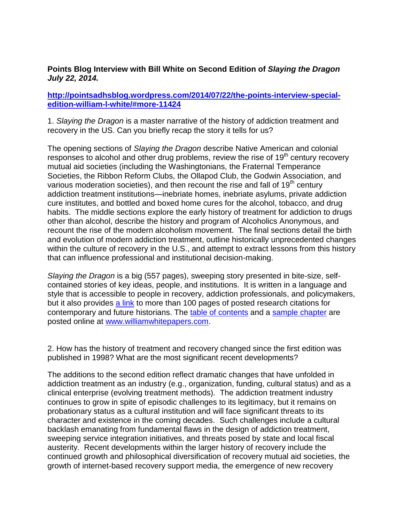## **Points Blog Interview with Bill White on Second Edition of** *Slaying the Dragon July 22, 2014.*

## **[http://pointsadhsblog.wordpress.com/2014/07/22/the-points-interview-special](http://pointsadhsblog.wordpress.com/2014/07/22/the-points-interview-special-edition-william-l-white/#more-11424)[edition-william-l-white/#more-11424](http://pointsadhsblog.wordpress.com/2014/07/22/the-points-interview-special-edition-william-l-white/#more-11424)**

1. *Slaying the Dragon* is a master narrative of the history of addiction treatment and recovery in the US. Can you briefly recap the story it tells for us?

The opening sections of *Slaying the Dragon* describe Native American and colonial responses to alcohol and other drug problems, review the rise of  $19<sup>th</sup>$  century recovery mutual aid societies (including the Washingtonians, the Fraternal Temperance Societies, the Ribbon Reform Clubs, the Ollapod Club, the Godwin Association, and various moderation societies), and then recount the rise and fall of  $19<sup>th</sup>$  century addiction treatment institutions—inebriate homes, inebriate asylums, private addiction cure institutes, and bottled and boxed home cures for the alcohol, tobacco, and drug habits. The middle sections explore the early history of treatment for addiction to drugs other than alcohol, describe the history and program of Alcoholics Anonymous, and recount the rise of the modern alcoholism movement. The final sections detail the birth and evolution of modern addiction treatment, outline historically unprecedented changes within the culture of recovery in the U.S., and attempt to extract lessons from this history that can influence professional and institutional decision-making.

*Slaying the Dragon* is a big (557 pages), sweeping story presented in bite-size, selfcontained stories of key ideas, people, and institutions. It is written in a language and style that is accessible to people in recovery, addiction professionals, and policymakers, but it also provides [a link](http://www.williamwhitepapers.com/pr/__books/misc/Slaying%20the%20Dragon%202014%20References.pdf) to more than 100 pages of posted research citations for contemporary and future historians. The [table of contents](http://www.williamwhitepapers.com/pr/__books/table_of_contents/Slaying%20the%20Dragon%202014%20Table%20of%20Contents.pdf) and a [sample chapter](http://www.williamwhitepapers.com/pr/__books/excerpts/SlayingTheDragon_KeeleyChapter.pdf) are posted online at [www.williamwhitepapers.com.](http://www.williamwhitepapers.com/)

2. How has the history of treatment and recovery changed since the first edition was published in 1998? What are the most significant recent developments?

The additions to the second edition reflect dramatic changes that have unfolded in addiction treatment as an industry (e.g., organization, funding, cultural status) and as a clinical enterprise (evolving treatment methods). The addiction treatment industry continues to grow in spite of episodic challenges to its legitimacy, but it remains on probationary status as a cultural institution and will face significant threats to its character and existence in the coming decades. Such challenges include a cultural backlash emanating from fundamental flaws in the design of addiction treatment, sweeping service integration initiatives, and threats posed by state and local fiscal austerity. Recent developments within the larger history of recovery include the continued growth and philosophical diversification of recovery mutual aid societies, the growth of internet-based recovery support media, the emergence of new recovery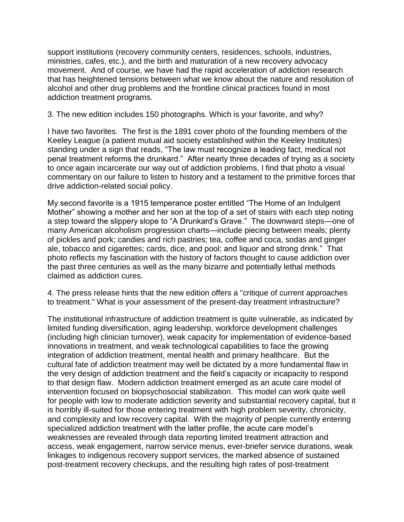support institutions (recovery community centers, residences, schools, industries, ministries, cafes, etc.), and the birth and maturation of a new recovery advocacy movement. And of course, we have had the rapid acceleration of addiction research that has heightened tensions between what we know about the nature and resolution of alcohol and other drug problems and the frontline clinical practices found in most addiction treatment programs.

## 3. The new edition includes 150 photographs. Which is your favorite, and why?

I have two favorites. The first is the 1891 cover photo of the founding members of the Keeley League (a patient mutual aid society established within the Keeley Institutes) standing under a sign that reads, "The law must recognize a leading fact, medical not penal treatment reforms the drunkard." After nearly three decades of trying as a society to once again incarcerate our way out of addiction problems, I find that photo a visual commentary on our failure to listen to history and a testament to the primitive forces that drive addiction-related social policy.

My second favorite is a 1915 temperance poster entitled "The Home of an Indulgent Mother" showing a mother and her son at the top of a set of stairs with each step noting a step toward the slippery slope to "A Drunkard's Grave." The downward steps—one of many American alcoholism progression charts—include piecing between meals; plenty of pickles and pork; candies and rich pastries; tea, coffee and coca, sodas and ginger ale, tobacco and cigarettes; cards, dice, and pool; and liquor and strong drink." That photo reflects my fascination with the history of factors thought to cause addiction over the past three centuries as well as the many bizarre and potentially lethal methods claimed as addiction cures.

4. The press release hints that the new edition offers a "critique of current approaches to treatment." What is your assessment of the present-day treatment infrastructure?

The institutional infrastructure of addiction treatment is quite vulnerable, as indicated by limited funding diversification, aging leadership, workforce development challenges (including high clinician turnover), weak capacity for implementation of evidence-based innovations in treatment, and weak technological capabilities to face the growing integration of addiction treatment, mental health and primary healthcare. But the cultural fate of addiction treatment may well be dictated by a more fundamental flaw in the very design of addiction treatment and the field's capacity or incapacity to respond to that design flaw. Modern addiction treatment emerged as an acute care model of intervention focused on biopsychosocial stabilization. This model can work quite well for people with low to moderate addiction severity and substantial recovery capital, but it is horribly ill-suited for those entering treatment with high problem severity, chronicity, and complexity and low recovery capital. With the majority of people currently entering specialized addiction treatment with the latter profile, the acute care model's weaknesses are revealed through data reporting limited treatment attraction and access, weak engagement, narrow service menus, ever-briefer service durations, weak linkages to indigenous recovery support services, the marked absence of sustained post-treatment recovery checkups, and the resulting high rates of post-treatment